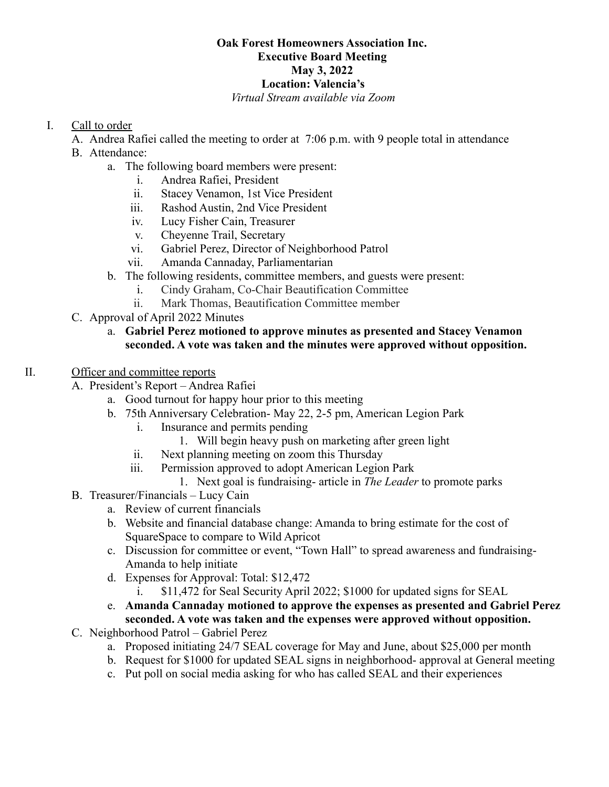# **Oak Forest Homeowners Association Inc. Executive Board Meeting May 3, 2022 Location: Valencia's**

## *Virtual Stream available via Zoom*

## I. Call to order

- A. Andrea Rafiei called the meeting to order at 7:06 p.m. with 9 people total in attendance
- B. Attendance:
	- a. The following board members were present:
		- i. Andrea Rafiei, President
		- ii. Stacey Venamon, 1st Vice President
		- iii. Rashod Austin, 2nd Vice President
		- iv. Lucy Fisher Cain, Treasurer
		- v. Cheyenne Trail, Secretary
		- vi. Gabriel Perez, Director of Neighborhood Patrol
		- vii. Amanda Cannaday, Parliamentarian
	- b. The following residents, committee members, and guests were present:
		- i. Cindy Graham, Co-Chair Beautification Committee
			- ii. Mark Thomas, Beautification Committee member
- C. Approval of April 2022 Minutes

## a. **Gabriel Perez motioned to approve minutes as presented and Stacey Venamon seconded. A vote was taken and the minutes were approved without opposition.**

## II. Officer and committee reports

- A. President's Report Andrea Rafiei
	- a. Good turnout for happy hour prior to this meeting
	- b. 75th Anniversary Celebration- May 22, 2-5 pm, American Legion Park
		- i. Insurance and permits pending
			- 1. Will begin heavy push on marketing after green light
		- ii. Next planning meeting on zoom this Thursday
		- iii. Permission approved to adopt American Legion Park
			- 1. Next goal is fundraising- article in *The Leader* to promote parks
- B. Treasurer/Financials Lucy Cain
	- a. Review of current financials
	- b. Website and financial database change: Amanda to bring estimate for the cost of SquareSpace to compare to Wild Apricot
	- c. Discussion for committee or event, "Town Hall" to spread awareness and fundraising-Amanda to help initiate
	- d. Expenses for Approval: Total: \$12,472
		- i. \$11,472 for Seal Security April 2022; \$1000 for updated signs for SEAL
	- e. **Amanda Cannaday motioned to approve the expenses as presented and Gabriel Perez seconded. A vote was taken and the expenses were approved without opposition.**
- C. Neighborhood Patrol Gabriel Perez
	- a. Proposed initiating 24/7 SEAL coverage for May and June, about \$25,000 per month
	- b. Request for \$1000 for updated SEAL signs in neighborhood- approval at General meeting
	- c. Put poll on social media asking for who has called SEAL and their experiences